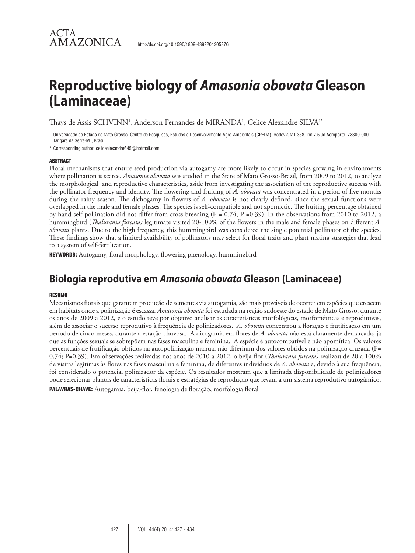# ACTA **AMAZONICA**

# **Reproductive biology of** *Amasonia obovata* **Gleason (Laminaceae)**

Thays de Assis SCHVINN<sup>1</sup>, Anderson Fernandes de MIRANDA<sup>1</sup>, Celice Alexandre SILVA<sup>1</sup>'

<sup>1</sup> Universidade do Estado de Mato Grosso. Centro de Pesquisas, Estudos e Desenvolvimento Agro-Ambientais (CPEDA). Rodovia MT 358, km 7,5 Jd Aeroporto. 78300-000. Tangará da Serra-MT, Brasil.

\* Corresponding author: celicealexandre645@hotmail.com

#### **ABSTRACT**

Floral mechanisms that ensure seed production via autogamy are more likely to occur in species growing in environments where pollination is scarce. *Amasonia obovata* was studied in the State of Mato Grosso-Brazil, from 2009 to 2012, to analyze the morphological and reproductive characteristics, aside from investigating the association of the reproductive success with the pollinator frequency and identity. The flowering and fruiting of *A. obovata* was concentrated in a period of five months during the rainy season. The dichogamy in flowers of *A. obovata* is not clearly defined, since the sexual functions were overlapped in the male and female phases. The species is self-compatible and not apomictic. The fruiting percentage obtained by hand self-pollination did not differ from cross-breeding (F = 0.74, P =0.39). In the observations from 2010 to 2012, a hummingbird (*Thalurania furcata)* legitimate visited 20-100% of the flowers in the male and female phases on different *A. obovata* plants. Due to the high frequency, this hummingbird was considered the single potential pollinator of the species. These findings show that a limited availability of pollinators may select for floral traits and plant mating strategies that lead to a system of self-fertilization.

KEYWORDS: Autogamy, floral morphology, flowering phenology, hummingbird

# **Biologia reprodutiva em** *Amasonia obovata* **Gleason (Laminaceae)**

#### **RESUMO**

Mecanismos florais que garantem produção de sementes via autogamia, são mais prováveis de ocorrer em espécies que crescem em habitats onde a polinização é escassa. *Amasonia obovata* foi estudada na região sudoeste do estado de Mato Grosso, durante os anos de 2009 a 2012, e o estudo teve por objetivo analisar as características morfológicas, morfométricas e reprodutivas, além de associar o sucesso reprodutivo à frequência de polinizadores. *A. obovata* concentrou a floração e frutificação em um período de cinco meses, durante a estação chuvosa. A dicogamia em flores de *A. obovata* não está claramente demarcada, já que as funções sexuais se sobrepõem nas fases masculina e feminina. A espécie é autocompatível e não apomítica. Os valores percentuais de frutificação obtidos na autopolinização manual não diferiram dos valores obtidos na polinização cruzada (F= 0,74; P=0,39). Em observações realizadas nos anos de 2010 a 2012, o beija-flor (*Thalurania furcata)* realizou de 20 a 100% de visitas legítimas às flores nas fases masculina e feminina, de diferentes indivíduos de *A. obovata* e, devido à sua frequência, foi considerado o potencial polinizador da espécie. Os resultados mostram que a limitada disponibilidade de polinizadores pode selecionar plantas de características florais e estratégias de reprodução que levam a um sistema reprodutivo autogâmico. PALAVRAS-CHAVE: Autogamia, beija-flor, fenologia de floração, morfologia floral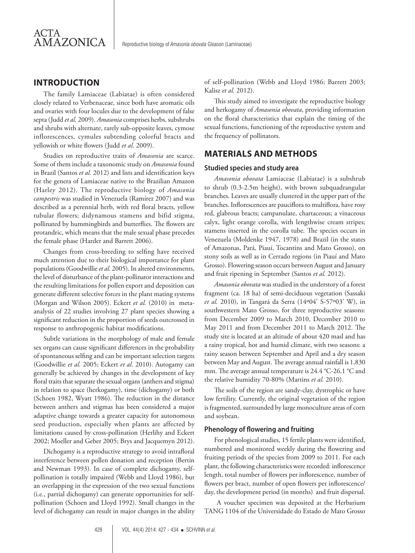# **INTRODUCTION**

The family Lamiaceae (Labiatae) is often considered closely related to Verbenaceae, since both have aromatic oils and ovaries with four locules due to the development of false septa (Judd *et al.* 2009). *Amasonia* comprises herbs, subshrubs and shrubs with alternate, rarely sub-opposite leaves, cymose inflorescences, cymules subtending colorful bracts and yellowish or white flowers (Judd *et al.* 2009).

Studies on reproductive traits of *Amasonia* are scarce. Some of them include a taxonomic study on *Amasonia* found in Brazil (Santos *et al.* 2012) and lists and identification keys for the genera of Lamiaceae native to the Brazilian Amazon (Harley 2012). The reproductive biology of *Amasonia campestris* was studied in Venezuela (Ramírez 2007) and was described as a perennial herb, with red floral bracts, yellow tubular flowers; didynamous stamens and bifid stigma, pollinated by hummingbirds and butterflies. The flowers are protandric, which means that the male sexual phase precedes the female phase (Harder and Barrett 2006).

Changes from cross-breeding to selfing have received much attention due to their biological importance for plant populations (Goodwillie *et al.* 2005). In altered environments, the level of disturbance of the plant-pollinator interactions and the resulting limitations for pollen export and deposition can generate different selective forces in the plant mating systems (Morgan and Wilson 2005). Eckert et al. (2010) in metaanalysis of 22 studies involving 27 plant species showing a significant reduction in the proportion of seeds outcrossed in response to anthropogenic habitat modifications.

Subtle variations in the morphology of male and female sex organs can cause significant differences in the probability of spontaneous selfing and can be important selection targets (Goodwillie *et al.* 2005; Eckert *et al.* 2010). Autogamy can generally be achieved by changes in the development of key floral traits that separate the sexual organs (anthers and stigma) in relation to space (herkogamy), time (dichogamy) or both (Schoen 1982, Wyatt 1986). The reduction in the distance between anthers and stigmas has been considered a major adaptive change towards a greater capacity for autonomous seed production, especially when plants are affected by limitations caused by cross-pollination (Herlihy and Eckert 2002; Moeller and Geber 2005; Brys and Jacquemyn 2012).

Dichogamy is a reproductive strategy to avoid intrafloral interference between pollen donation and reception (Bertin and Newman 1993). In case of complete dichogamy, selfpollination is totally impaired (Webb and Lloyd 1986), but an overlapping in the expression of the two sexual functions (i.e., partial dichogamy) can generate opportunities for selfpollination (Schoen and Lloyd 1992). Small changes in the level of dichogamy can result in major changes in the ability of self-pollination (Webb and Lloyd 1986; Barrett 2003; Kalisz *et al.* 2012).

This study aimed to investigate the reproductive biology and herkogamy of *Amasonia obovata*, providing information on the floral characteristics that explain the timing of the sexual functions, functioning of the reproductive system and the frequency of pollinators.

# **MATERIALS AND METHODS**

#### **Studied species and study area**

*Amasonia obovata* Lamiaceae (Labiatae) is a subshrub to shrub (0.3-2.5m height), with brown subquadrangular branches. Leaves are usually clustered in the upper part of the branches. Inflorescences are pauciflora to multiflora, have rosy red, glabrous bracts; campanulate, chartaceous; a vinaceous calyx, light orange corolla, with lengthwise cream stripes; stamens inserted in the corolla tube. The species occurs in Venezuela (Moldenke 1947, 1978) and Brazil (in the states of Amazonas, Pará, Piauí, Tocantins and Mato Grosso), on stony soils as well as in Cerrado regions (in Piauí and Mato Grosso). Flowering season occurs between August and January and fruit ripening in September (Santos *et al.* 2012).

*Amasonia obovata* was studied in the understory of a forest fragment (ca. 18 ha) of semi-deciduous vegetation (Sassaki *et al.* 2010), in Tangará da Serra (14º04' S-57º03' W), in southwestern Mato Grosso, for three reproductive seasons: from December 2009 to March 2010, December 2010 to May 2011 and from December 2011 to March 2012. The study site is located at an altitude of about 420 masl and has a rainy tropical, hot and humid climate, with two seasons: a rainy season between September and April and a dry season between May and August. The average annual rainfall is 1,830 mm. The average annual temperature is 24.4 °C-26.1 °C and the relative humidity 70-80% (Martins *et al.* 2010).

The soils of the region are sandy-clay, dystrophic or have low fertility. Currently, the original vegetation of the region is fragmented, surrounded by large monoculture areas of corn and soybean.

#### **Phenology of flowering and fruiting**

For phenological studies, 15 fertile plants were identified, numbered and monitored weekly during the flowering and fruiting periods of the species from 2009 to 2011. For each plant, the following characteristics were recorded: inflorescence length, total number of flowers per inflorescence, number of flowers per bract, number of open flowers per inflorescence/ day, the development period (in months) and fruit dispersal.

 A voucher specimen was deposited at the Herbarium TANG 1104 of the Universidade do Estado de Mato Grosso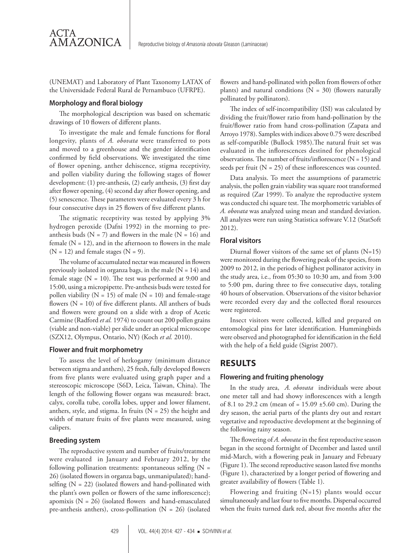(UNEMAT) and Laboratory of Plant Taxonomy LATAX of the Universidade Federal Rural de Pernambuco (UFRPE).

#### **Morphology and floral biology**

AMAZONICA

ACTA

The morphological description was based on schematic drawings of 10 flowers of different plants.

To investigate the male and female functions for floral longevity, plants of *A. obovata* were transferred to pots and moved to a greenhouse and the gender identification confirmed by field observations. We investigated the time of flower opening, anther dehiscence, stigma receptivity, and pollen viability during the following stages of flower development: (1) pre-anthesis, (2) early anthesis, (3) first day after flower opening, (4) second day after flower opening, and (5) senescence. These parameters were evaluated every 3 h for four consecutive days in 25 flowers of five different plants.

The stigmatic receptivity was tested by applying 3% hydrogen peroxide (Dafni 1992) in the morning to preanthesis buds ( $N = 7$ ) and flowers in the male ( $N = 16$ ) and female  $(N = 12)$ , and in the afternoon to flowers in the male  $(N = 12)$  and female stages  $(N = 9)$ .

The volume of accumulated nectar was measured in flowers previously isolated in organza bags, in the male  $(N = 14)$  and female stage ( $N = 10$ ). The test was performed at 9:00 and 15:00, using a micropipette. Pre-anthesis buds were tested for pollen viability ( $N = 15$ ) of male ( $N = 10$ ) and female-stage flowers  $(N = 10)$  of five different plants. All anthers of buds and flowers were ground on a slide with a drop of Acetic Carmine (Radford *et al.* 1974) to count out 200 pollen grains (viable and non-viable) per slide under an optical microscope (SZX12, Olympus, Ontario, NY) (Koch *et al.* 2010).

#### **Flower and fruit morphometry**

To assess the level of herkogamy (minimum distance between stigma and anthers), 25 fresh, fully developed flowers from five plants were evaluated using graph paper and a stereoscopic microscope (S6D, Leica, Taiwan, China). The length of the following flower organs was measured: bract, calyx, corolla tube, corolla lobes, upper and lower filament, anthers, style, and stigma. In fruits  $(N = 25)$  the height and width of mature fruits of five plants were measured, using calipers.

#### **Breeding system**

The reproductive system and number of fruits/treatment were evaluated in January and February 2012, by the following pollination treatments: spontaneous selfing  $(N =$ 26) (isolated flowers in organza bags, unmanipulated); handselfing  $(N = 22)$  (isolated flowers and hand-pollinated with the plant's own pollen or flowers of the same inflorescence); apomixis  $(N = 26)$  (isolated flowers and hand-emasculated pre-anthesis anthers), cross-pollination ( $N = 26$ ) (isolated

flowers and hand-pollinated with pollen from flowers of other plants) and natural conditions ( $N = 30$ ) (flowers naturally pollinated by pollinators).

The index of self-incompatibility (ISI) was calculated by dividing the fruit/flower ratio from hand-pollination by the fruit/flower ratio from hand cross-pollination (Zapata and Arroyo 1978). Samples with indices above 0.75 were described as self-compatible (Bullock 1985).The natural fruit set was evaluated in the inflorescences destined for phenological observations. The number of fruits/inflorescence  $(N = 15)$  and seeds per fruit  $(N = 25)$  of these inflorescences was counted.

Data analysis. To meet the assumptions of parametric analysis, the pollen grain viability was square root transformed as required (Zar 1999). To analyze the reproductive system was conducted chi square test. The morphometric variables of *A. obovata* was analyzed using mean and standard deviation. All analyzes were run using Statistica software V.12 (StatSoft 2012).

#### **Floral visitors**

Diurnal flower visitors of the same set of plants (N=15) were monitored during the flowering peak of the species, from 2009 to 2012, in the periods of highest pollinator activity in the study area, i.e., from 05:30 to 10:30 am, and from 3:00 to 5:00 pm, during three to five consecutive days, totaling 40 hours of observation. Observations of the visitor behavior were recorded every day and the collected floral resources were registered.

Insect visitors were collected, killed and prepared on entomological pins for later identification. Hummingbirds were observed and photographed for identification in the field with the help of a field guide (Sigrist 2007).

### **RESULTS**

#### **Flowering and fruiting phenology**

In the study area, *A. obovata* individuals were about one meter tall and had showy inflorescences with a length of 8.1 to 29.2 cm (mean of =  $15.09 \pm 5.60$  cm). During the dry season, the aerial parts of the plants dry out and restart vegetative and reproductive development at the beginning of the following rainy season.

The flowering of *A. obovata* in the first reproductive season began in the second fortnight of December and lasted until mid-March, with a flowering peak in January and February (Figure 1). The second reproductive season lasted five months (Figure 1), characterized by a longer period of flowering and greater availability of flowers (Table 1).

Flowering and fruiting (N=15) plants would occur simultaneously and last four to five months. Dispersal occurred when the fruits turned dark red, about five months after the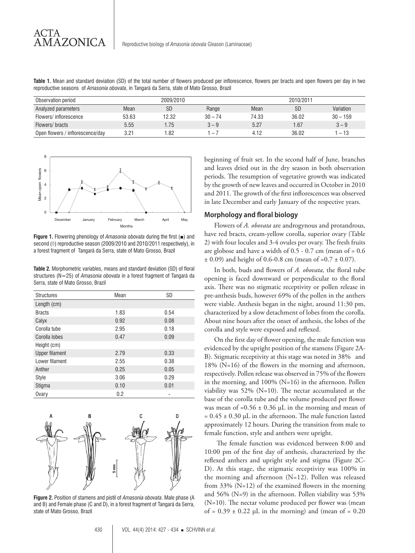**Table 1.** Mean and standard deviation (SD) of the total number of flowers produced per inflorescence, flowers per bracts and open flowers per day in two reproductive seasons of *Amasonia obovata*, in Tangará da Serra, state of Mato Grosso, Brazil

| Observation period               | 2009/2010 |       |                          | 2010/2011 |       |            |
|----------------------------------|-----------|-------|--------------------------|-----------|-------|------------|
| Analyzed parameters              | Mean      | SD    | Range                    | Mean      | SD    | Variation  |
| Flowers/inflorescence            | 53.63     | 12.32 | $30 - 74$                | 74.33     | 36.02 | $30 - 159$ |
| Flowers/bracts                   | 5.55      | 1.75  | $3 - 9$                  | 5.27      | .67   | $3 - 9$    |
| Open flowers / inflorescence/day | 3.21      | .82   | $\overline{\phantom{0}}$ | 4.12      | 36.02 | $-13$      |



ACTA

**AMAZONICA** 

**Figure 1.** Flowering phenology of *Amasonia obovata* during the first (■) and second (0) reproductive season (2009/2010 and 2010/2011 respectively), in a forest fragment of Tangará da Serra, state of Mato Grosso, Brazil

**Table 2.** Morphometric variables, means and standard deviation (SD) of floral structures (N=25) of *Amasonia obovata* in a forest fragment of Tangará da Serra, state of Mato Grosso, Brazil

| <b>Structures</b>     | Mean | <b>SD</b> |
|-----------------------|------|-----------|
| Length (cm)           |      |           |
| <b>Bracts</b>         | 1.83 | 0.54      |
| Calyx                 | 0.92 | 0.08      |
| Corolla tube          | 2.95 | 0.18      |
| Corolla lobes         | 0.47 | 0.09      |
| Height (cm)           |      |           |
| <b>Upper filament</b> | 2.79 | 0.33      |
| Lower filament        | 2.55 | 0.38      |
| Anther                | 0.25 | 0.05      |
| Style                 | 3.06 | 0.29      |
| Stigma                | 0.10 | 0.01      |
| Ovary                 | 0.2  |           |



**Figure 2.** Position of stamens and pistil of *Amasonia obovata*. Male phase (A and B) and Female phase (C and D), in a forest fragment of Tangará da Serra, state of Mato Grosso, Brazil

beginning of fruit set. In the second half of June, branches and leaves dried out in the dry season in both observation periods. The resumption of vegetative growth was indicated by the growth of new leaves and occurred in October in 2010 and 2011. The growth of the first inflorescences was observed in late December and early January of the respective years.

#### **Morphology and floral biology**

Flowers of *A. obovata* are androgynous and protandrous, have red bracts, cream-yellow corolla, superior ovary (Table 2) with four locules and 3-4 ovules per ovary. The fresh fruits are globose and have a width of  $0.5$  -  $0.7$  cm (mean of =  $0.6$  $\pm$  0.09) and height of 0.6-0.8 cm (mean of =0.7  $\pm$  0.07).

In both, buds and flowers of *A. obovata,* the floral tube opening is faced downward or perpendicular to the floral axis. There was no stigmatic receptivity or pollen release in pre-anthesis buds, however 69% of the pollen in the anthers were viable. Anthesis began in the night, around 11:30 pm, characterized by a slow detachment of lobes from the corolla. About nine hours after the onset of anthesis, the lobes of the corolla and style were exposed and reflexed.

On the first day of flower opening, the male function was evidenced by the upright position of the stamens (Figure 2A-B). Stigmatic receptivity at this stage was noted in 38% and 18% (N=16) of the flowers in the morning and afternoon, respectively. Pollen release was observed in 75% of the flowers in the morning, and 100% (N=16) in the afternoon. Pollen viability was 52% (N=10). The nectar accumulated at the base of the corolla tube and the volume produced per flower was mean of =0.56  $\pm$  0.36  $\mu$ L in the morning and mean of  $= 0.45 \pm 0.30$  μL in the afternoon. The male function lasted approximately 12 hours. During the transition from male to female function, style and anthers were upright.

 The female function was evidenced between 8:00 and 10:00 pm of the first day of anthesis, characterized by the reflexed anthers and upright style and stigma (Figure 2C-D). At this stage, the stigmatic receptivity was 100% in the morning and afternoon (N=12). Pollen was released from 33% (N=12) of the examined flowers in the morning and 56% (N=9) in the afternoon. Pollen viability was 53% (N=10). The nectar volume produced per flower was (mean of =  $0.39 \pm 0.22$  µL in the morning) and (mean of =  $0.20$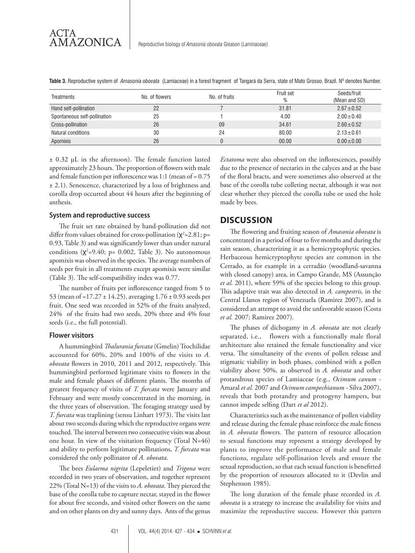| Treatments                   | No. of flowers | No. of fruits | Fruit set | Seeds/fruit<br>(Mean and SD) |
|------------------------------|----------------|---------------|-----------|------------------------------|
| Hand self-pollination        | 22             |               | 31.81     | $2.67 \pm 0.52$              |
| Spontaneous self-pollination | 25             |               | 4.00      | $2.00 \pm 0.40$              |
| Cross-pollination            | 26             | 09            | 34.61     | $2.60 \pm 0.52$              |
| Natural conditions           | 30             | 24            | 80.00     | $2.13 \pm 0.61$              |
| Apomixis                     | 26             |               | 00.00     | $0.00 \pm 0.00$              |

**Table 3.** Reproductive system of *Amasonia obovata* (Lamiaceae) in a forest fragment of Tangará da Serra, state of Mato Grosso, Brazil. Nº denotes Number.

± 0.32 μL in the afternoon). The female function lasted approximately 23 hours. The proportion of flowers with male and female function per inflorescence was 1:1 (mean of = 0.75 ± 2.1). Senescence, characterized by a loss of brightness and corolla drop occurred about 44 hours after the beginning of anthesis.

#### **System and reproductive success**

The fruit set rate obtained by hand-pollination did not differ from values obtained for cross-pollination ( $\chi^2$ =2.81; p= 0.93, Table 3) and was significantly lower than under natural conditions  $(\chi^2=9.40; p= 0.002,$  Table 3). No autonomous apomixis was observed in the species. The average numbers of seeds per fruit in all treatments except apomixis were similar (Table 3). The self-compatibility index was 0.77.

The number of fruits per inflorescence ranged from 5 to 53 (mean of =17.27 ± 14.25), averaging 1.76 ± 0.93 seeds per fruit. One seed was recorded in 52% of the fruits analyzed, 24% of the fruits had two seeds, 20% three and 4% four seeds (i.e., the full potential).

#### **Flower visitors**

A hummingbird *Thalurania furcata* (Gmelin) Trochilidae accounted for 60%, 20% and 100% of the visits to *A. obovata* flowers in 2010, 2011 and 2012, respectively. This hummingbird performed legitimate visits to flowers in the male and female phases of different plants. The months of greatest frequency of visits of *T. furcata* were January and February and were mostly concentrated in the morning, in the three years of observation. The foraging strategy used by *T. furcata* was traplining (sensu Linhart 1973). The visits last about two seconds during which the reproductive organs were touched. The interval between two consecutive visits was about one hour. In view of the visitation frequency (Total N=46) and ability to perform legitimate pollinations, *T. furcata* was considered the only pollinator of *A. obovata*.

The bees *Eulaema nigrita* (Lepeletier) and *Trigona* were recorded in two years of observation, and together represent 22% (Total N=13) of the visits to *A. obovata*. They pierced the base of the corolla tube to capture nectar, stayed in the flower for about five seconds, and visited other flowers on the same and on other plants on dry and sunny days. Ants of the genus

*Ectatoma* were also observed on the inflorescences, possibly due to the presence of nectaries in the calyces and at the base of the floral bracts, and were sometimes also observed at the base of the corolla tube colleting nectar, although it was not clear whether they pierced the corolla tube or used the hole made by bees.

## **DISCUSSION**

The flowering and fruiting season of *Amasonia obovata* is concentrated in a period of four to five months and during the rain season, characterizing it as a hemicryptophytic species. Herbaceous hemicryptophyte species are common in the Cerrado, as for example in a cerradão (woodland-savanna with closed canopy) area, in Campo Grande, MS (Assunção *et al.* 2011), where 59% of the species belong to this group. This adaptive trait was also detected in *A. campestris,* in the Central Llanos region of Venezuela (Ramirez 2007), and is considered an attempt to avoid the unfavorable season (Costa *et al.* 2007; Ramirez 2007).

The phases of dichogamy in *A. obovata* are not clearly separated, i.e., flowers with a functionally male floral architecture also retained the female functionality and vice versa. The simultaneity of the events of pollen release and stigmatic viability in both phases, combined with a pollen viability above 50%, as observed in *A. obovata* and other protandrous species of Lamiaceae (e.g., *Ocimum canum -*  Amaral *et al.* 2007 and *Ocimum campechianum -* Silva 2007), reveals that both protandry and protogyny hampers, but cannot impede selfing (Dart *et al* 2012).

Characteristics such as the maintenance of pollen viability and release during the female phase reinforce the male fitness in *A. obovata* flowers. The pattern of resource allocation to sexual functions may represent a strategy developed by plants to improve the performance of male and female functions, regulate self-pollination levels and ensure the sexual reproduction, so that each sexual function is benefitted by the proportion of resources allocated to it (Devlin and Stephenson 1985).

The long duration of the female phase recorded in *A. obovata* is a strategy to increase the availability for visits and maximize the reproductive success. However this pattern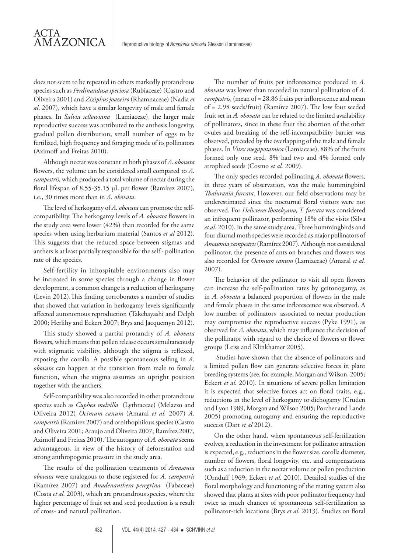does not seem to be repeated in others markedly protandrous species such as *Ferdinandusa speciosa* (Rubiaceae) (Castro and Oliveira 2001) and *Ziziphus joazeiro* (Rhamnaceae) (Nadia *et al*. 2007), which have a similar longevity of male and female phases. In *Salvia sellowiana* (Lamiaceae), the larger male reproductive success was attributed to the anthesis longevity, gradual pollen distribution, small number of eggs to be fertilized, high frequency and foraging mode of its pollinators (Aximoff and Freitas 2010).

ACTA

AMAZONICA

Although nectar was constant in both phases of *A. obovata* flowers, the volume can be considered small compared to *A. campestris,* which produced a total volume of nectar during the floral lifespan of 8.55-35.15 μL per flower (Ramírez 2007), i.e., 30 times more than in *A. obovata*.

The level of herkogamy of *A. obovata* can promote the selfcompatibility. The herkogamy levels of *A. obovata* flowers in the study area were lower (42%) than recorded for the same species when using herbarium material (Santos *et al* 2012). This suggests that the reduced space between stigmas and anthers is at least partially responsible for the self - pollination rate of the species.

Self-fertility in inhospitable environments also may be increased in some species through a change in flower development, a common change is a reduction of herkogamy (Levin 2012).This finding corroborates a number of studies that showed that variation in herkogamy levels significantly affected autonomous reproduction (Takebayashi and Delph 2000; Herlihy and Eckert 2007; Brys and Jacquemyn 2012).

This study showed a partial protandry of *A. obovata* flowers, which means that pollen release occurs simultaneously with stigmatic viability, although the stigma is reflexed, exposing the corolla. A possible spontaneous selfing in *A. obovata* can happen at the transition from male to female function, when the stigma assumes an upright position together with the anthers.

Self-compatibility was also recorded in other protandrous species such as *Cuphea melvilla* (Lythraceae) (Melazzo and Oliveira 2012) *Ocimum canum* (Amaral *et al.* 2007) *A. campestris* (Ramírez 2007) and ornithophilous species (Castro and Oliveira 2001; Araujo and Oliveira 2007; Ramírez 2007, Aximoff and Freitas 2010). The autogamy of *A. obovata* seems advantageous, in view of the history of deforestation and strong anthropogenic pressure in the study area.

The results of the pollination treatments of *Amasonia obovata* were analogous to those registered for *A. campestris* (Ramírez 2007) and *Anadenanthera peregrina* (Fabaceae) (Costa *et al.* 2003), which are protandrous species, where the higher percentage of fruit set and seed production is a result of cross- and natural pollination.

The number of fruits per inflorescence produced in *A. obovata* was lower than recorded in natural pollination of *A. campestris,* (mean of = 28.86 fruits per inflorescence and mean of **=** 2.98 seeds/fruit) (Ramírez 2007). The low four seeded fruit set in *A. obovata* can be related to the limited availability of pollinators, since in these fruit the abortion of the other ovules and breaking of the self-incompatibility barrier was observed, preceded by the overlapping of the male and female phases. In *Vitex megapotamica* (Lamiaceae), 88% of the fruits formed only one seed, 8% had two and 4% formed only atrophied seeds (Cosmo *et al.* 2009).

The only species recorded pollinating *A. obovata* flowers, in three years of observation, was the male hummingbird *Thalurania furcata*. However, our field observations may be underestimated since the nocturnal floral visitors were not observed. For *Helicteres lhotzkyana, T. furcata* was considered an infrequent pollinator, performing 18% of the visits (Silva *et al*. 2010), in the same study area. Three hummingbirds and four diurnal moth species were recorded as major pollinators of *Amasonia campestris* (Ramírez 2007). Although not considered pollinator, the presence of ants on branches and flowers was also recorded for *Ocimum canum* (Lamiaceae) (Amaral *et al.*  2007).

The behavior of the pollinator to visit all open flowers can increase the self-pollination rates by geitonogamy, as in *A. obovata* a balanced proportion of flowers in the male and female phases in the same inflorescence was observed. A low number of pollinators associated to nectar production may compromise the reproductive success (Pyke 1991), as observed for *A. obovata*, which may influence the decision of the pollinator with regard to the choice of flowers or flower groups (Leiss and Klinkhamer 2005).

 Studies have shown that the absence of pollinators and a limited pollen flow can generate selective forces in plant breeding systems (see, for example, Morgan and Wilson, 2005; Eckert *et al.* 2010). In situations of severe pollen limitation it is expected that selective forces act on floral traits, e.g., reductions in the level of herkogamy or dichogamy (Cruden and Lyon 1989, Morgan and Wilson 2005; Porcher and Lande 2005) promoting autogamy and ensuring the reproductive success (Dart *et al* 2012).

On the other hand, when spontaneous self-fertilization evolves, a reduction in the investment for pollinator attraction is expected, e.g., reductions in the flower size, corolla diameter, number of flowers, floral longevity, etc. and compensations such as a reduction in the nectar volume or pollen production (Ornduff 1969; Eckert *et al.* 2010). Detailed studies of the floral morphology and functioning of the mating system also showed that plants at sites with poor pollinator frequency had twice as much chances of spontaneous self-fertilization as pollinator-rich locations (Brys *et al.* 2013). Studies on floral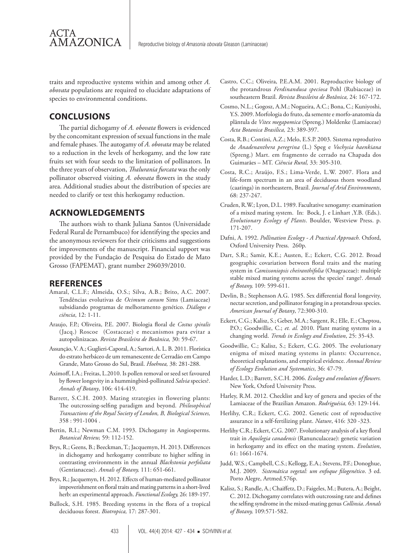traits and reproductive systems within and among other *A. obovata* populations are required to elucidate adaptations of species to environmental conditions.

# **CONCLUSIONS**

AMAZONICA

ACTA

The partial dichogamy of *A. obovata* flowers is evidenced by the concomitant expression of sexual functions in the male and female phases. The autogamy of *A. obovata* may be related to a reduction in the levels of herkogamy, and the low rate fruits set with four seeds to the limitation of pollinators. In the three years of observation, *Thalurania furcata* was the only pollinator observed visiting *A. obovata* flowers in the study area. Additional studies about the distribution of species are needed to clarify or test this herkogamy reduction.

# **ACKNOWLEDGEMENTS**

The authors wish to thank Juliana Santos (Universidade Federal Rural de Pernambuco) for identifying the species and the anonymous reviewers for their criticisms and suggestions for improvements of the manuscript. Financial support was provided by the Fundação de Pesquisa do Estado de Mato Grosso (FAPEMAT), grant number 296039/2010.

# **REFERENCES**

- Amaral, C.L.F.; Almeida, O.S.; Silva, A.B.; Brito, A.C. 2007. Tendências evolutivas de *Ocimum canum* Sims (Lamiaceae) subsidiando programas de melhoramento genético. *Diálogos e ciência*, 12: 1-11.
- Araujo, F.P.; Oliveira, P.E. 2007. Biologia floral de *Costus spiralis*  (Jacq.) Roscoe (Costaceae) e mecanismos para evitar a autopolinizacao. *Revista Brasileira de Botânica,* 30: 59-67.
- Assunção, V. A.; Guglieri-Caporal, A.; Sartori, A. L. B. 2011. Florística do estrato herbáceo de um remanescente de Cerradão em Campo Grande, Mato Grosso do Sul, Brasil. *Hoehnea,* 38: 281-288.
- Aximoff, I.A.; Freitas, L.2010. Is pollen removal or seed set favoured by flower longevity in a hummingbird-pollinated *Salvia* species?. *Annals of Botany*, 106: 414-419.
- Barrett, S.C.H. 2003. Mating strategies in flowering plants: The outcrossing-selfing paradigm and beyond. *Philosophical Transactions of the Royal Society of London, B, Biological Sciences,*  358 : 991-1004 .
- Bertin, R.I.; Newman C.M. 1993. Dichogamy in Angiosperms. *Botanical Review,* 59: 112-152.
- Brys, R.; Geens, B.; Beeckman, T.; Jacquemyn, H. 2013. Differences in dichogamy and herkogamy contribute to higher selfing in contrasting environments in the annual *Blackstonia perfoliata* (Gentianaceae). *Annals of Botany,* 111: 651-661.
- Brys, R.; Jacquemyn, H. 2012. Effects of human-mediated pollinator impoverishment on floral traits and mating patterns in a short-lived herb: an experimental approach. *Functional Ecology,* 26: 189-197.
- Bullock, S.H. 1985. Breeding systems in the flora of a tropical deciduous forest. *Biotropica,* 17: 287-301.
- Castro, C.C.; Oliveira, P.E.A.M. 2001. Reproductive biology of the protandrous *Ferdinandusa speciosa* Pohl (Rubiaceae) in southeastern Brazil. *Revista Brasileira de Botânica,* 24: 167-172.
- Cosmo, N.L.; Gogosz, A.M.; Nogueira, A.C.; Bona, C.; Kuniyoshi, Y.S. 2009. Morfologia do fruto, da semente e morfo-anatomia da plântula de *Vitex megapomica* (Spreng.) Moldenke (Lamiaceae) *Acta Botanica Brasilica,* 23: 389-397.
- Costa, R.B.; Contini, A.Z.; Melo, E.S.P. 2003. Sistema reprodutivo de *Anadenanthera peregrina* (L.) Speg e *Vochysia haenkiana* (Spreng.) Mart. em fragmento de cerrado na Chapada dos Guimarães – MT. *Ciência Rural,* 33: 305-310.
- Costa, R.C.; Araújo, F.S.; Lima-Verde, L.W. 2007. Flora and life-form spectrum in an area of deciduous thorn woodland (caatinga) in northeastern, Brazil. *Journal of Arid Environments*, 68: 237-247.
- Cruden, R.W.; Lyon, D.L. 1989. Facultative xenogamy: examination of a mixed mating system. In: Bock, J. e Linhart ,Y.B. (Eds.). *Evolutionary Ecology of Plants*. Boulder, Westview Press. p. 171-207.
- Dafni, A. 1992. *Pollination Ecology A Practical Approach.* Oxford, Oxford University Press. 260p.
- Dart, S.R.; Samir, K.E.; Austen, E.; Eckert, C.G. 2012. Broad geographic covariation between floral traits and the mating system in *Camissoniopsis cheiranthifolia* (Onagraceae): multiple stable mixed mating systems across the species' range?. *Annals of Botany,* 109: 599-611.
- Devlin, B.; Stephenson A.G. 1985. Sex differential floral longevity, nectar secretion, and pollinator foraging in a protandrous species. *American Journal of Botany*, 72:300-310.
- Eckert, C.G.; Kalisz, S.; Geber, M.A.; Sargent, R.; Elle, E.; Cheptou, P.O.; Goodwillie, C.; *et. al.* 2010. Plant mating systems in a changing world. *Trends in Ecology and Evolution*, 25: 35-43.
- Goodwillie, C.; Kalisz, S.; Eckert, C.G. 2005. The evolutionary enigma of mixed mating systems in plants: Occurrence, theoretical explanations, and empirical evidence. *Annual Review of Ecology Evolution and Systematics*, 36: 47-79.
- Harder, L.D.; Barrett, S.C.H. 2006. *Ecology and evolution of flowers.* New York, Oxford University Press.
- Harley, R.M. 2012. Checklist and key of genera and species of the Lamiaceae of the Brazilian Amazon. *Rodriguésia,* 63: 129-144.
- Herlihy, C.R.; Eckert, C.G. 2002. Genetic cost of reproductive assurance in a self-fertilizing plant. *Nature*, 416: 320 -323.
- Herlihy C.R.; Eckert, C.G. 2007. Evolutionary analysis of a key floral trait in *Aquilegia canadensis* (Ranunculaceae): genetic variation in herkogamy and its effect on the mating system. *Evolution*, 61: 1661-1674.
- Judd, W.S.; Campbell, C.S.; Kellogg, E.A.; Stevens, P.F.; Donoghue, M.J. 2009. *Sistemática vegetal: um enfoque filogenético*. 3 ed. Porto Alegre, Artmed.576p.
- Kalisz, S.; Randle, A.; Chaiffetz, D.; Faigeles, M.; Butera, A.; Beight, C. 2012. Dichogamy correlates with outcrossing rate and defines the selfing syndrome in the mixed-mating genus *Collinsia*. *Annals of Botany,* 109:571-582.